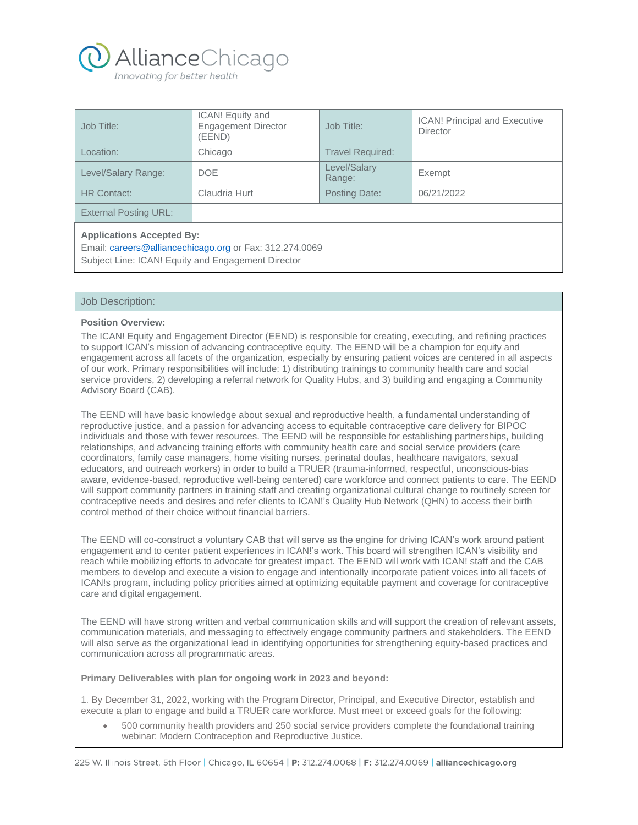

| Job Title:                                                                                                                                        | ICAN! Equity and<br><b>Engagement Director</b><br>(EEND) | Job Title:              | <b>ICAN!</b> Principal and Executive<br><b>Director</b> |
|---------------------------------------------------------------------------------------------------------------------------------------------------|----------------------------------------------------------|-------------------------|---------------------------------------------------------|
| Location:                                                                                                                                         | Chicago                                                  | <b>Travel Required:</b> |                                                         |
| Level/Salary Range:                                                                                                                               | <b>DOE</b>                                               | Level/Salary<br>Range:  | Exempt                                                  |
| <b>HR Contact:</b>                                                                                                                                | Claudria Hurt                                            | Posting Date:           | 06/21/2022                                              |
| <b>External Posting URL:</b>                                                                                                                      |                                                          |                         |                                                         |
| <b>Applications Accepted By:</b><br>Email: careers@alliancechicago.org or Fax: 312.274.0069<br>Subject Line: ICAN! Equity and Engagement Director |                                                          |                         |                                                         |

# Job Description:

## **Position Overview:**

The ICAN! Equity and Engagement Director (EEND) is responsible for creating, executing, and refining practices to support ICAN's mission of advancing contraceptive equity. The EEND will be a champion for equity and engagement across all facets of the organization, especially by ensuring patient voices are centered in all aspects of our work. Primary responsibilities will include: 1) distributing trainings to community health care and social service providers, 2) developing a referral network for Quality Hubs, and 3) building and engaging a Community Advisory Board (CAB).

The EEND will have basic knowledge about sexual and reproductive health, a fundamental understanding of reproductive justice, and a passion for advancing access to equitable contraceptive care delivery for BIPOC individuals and those with fewer resources. The EEND will be responsible for establishing partnerships, building relationships, and advancing training efforts with community health care and social service providers (care coordinators, family case managers, home visiting nurses, perinatal doulas, healthcare navigators, sexual educators, and outreach workers) in order to build a TRUER (trauma-informed, respectful, unconscious-bias aware, evidence-based, reproductive well-being centered) care workforce and connect patients to care. The EEND will support community partners in training staff and creating organizational cultural change to routinely screen for contraceptive needs and desires and refer clients to ICAN!'s Quality Hub Network (QHN) to access their birth control method of their choice without financial barriers.

The EEND will co-construct a voluntary CAB that will serve as the engine for driving ICAN's work around patient engagement and to center patient experiences in ICAN!'s work. This board will strengthen ICAN's visibility and reach while mobilizing efforts to advocate for greatest impact. The EEND will work with ICAN! staff and the CAB members to develop and execute a vision to engage and intentionally incorporate patient voices into all facets of ICAN!s program, including policy priorities aimed at optimizing equitable payment and coverage for contraceptive care and digital engagement.

The EEND will have strong written and verbal communication skills and will support the creation of relevant assets, communication materials, and messaging to effectively engage community partners and stakeholders. The EEND will also serve as the organizational lead in identifying opportunities for strengthening equity-based practices and communication across all programmatic areas.

**Primary Deliverables with plan for ongoing work in 2023 and beyond:**

1. By December 31, 2022, working with the Program Director, Principal, and Executive Director, establish and execute a plan to engage and build a TRUER care workforce. Must meet or exceed goals for the following:

• 500 community health providers and 250 social service providers complete the foundational training webinar: Modern Contraception and Reproductive Justice.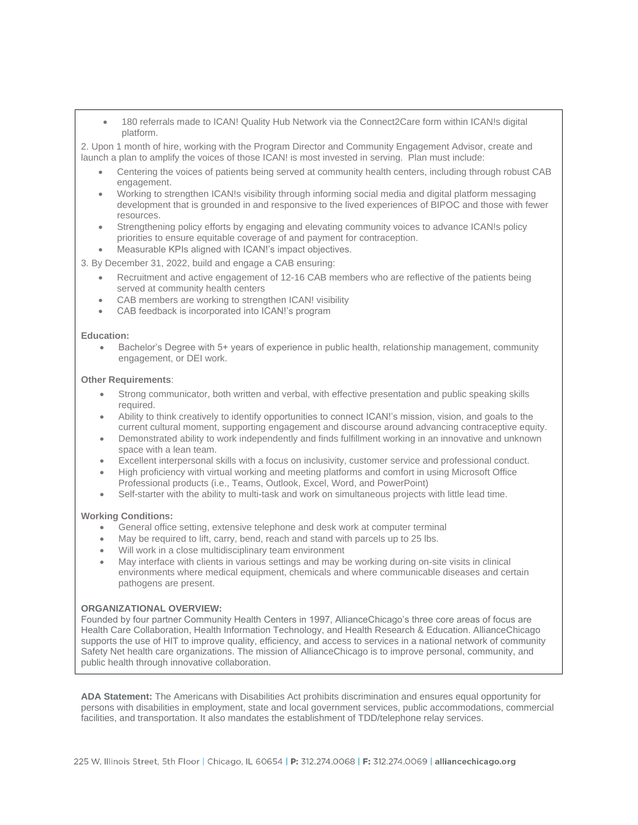• 180 referrals made to ICAN! Quality Hub Network via the Connect2Care form within ICAN!s digital platform.

2. Upon 1 month of hire, working with the Program Director and Community Engagement Advisor, create and launch a plan to amplify the voices of those ICAN! is most invested in serving. Plan must include:

- Centering the voices of patients being served at community health centers, including through robust CAB engagement.
- Working to strengthen ICAN!s visibility through informing social media and digital platform messaging development that is grounded in and responsive to the lived experiences of BIPOC and those with fewer resources.
- Strengthening policy efforts by engaging and elevating community voices to advance ICAN!s policy priorities to ensure equitable coverage of and payment for contraception.
- Measurable KPIs aligned with ICAN!'s impact objectives.

3. By December 31, 2022, build and engage a CAB ensuring:

- Recruitment and active engagement of 12-16 CAB members who are reflective of the patients being served at community health centers
- CAB members are working to strengthen ICAN! visibility
- CAB feedback is incorporated into ICAN!'s program

### **Education:**

• Bachelor's Degree with 5+ years of experience in public health, relationship management, community engagement, or DEI work.

### **Other Requirements**:

- Strong communicator, both written and verbal, with effective presentation and public speaking skills required.
- Ability to think creatively to identify opportunities to connect ICAN!'s mission, vision, and goals to the current cultural moment, supporting engagement and discourse around advancing contraceptive equity.
- Demonstrated ability to work independently and finds fulfillment working in an innovative and unknown space with a lean team.
- Excellent interpersonal skills with a focus on inclusivity, customer service and professional conduct.
- High proficiency with virtual working and meeting platforms and comfort in using Microsoft Office Professional products (i.e., Teams, Outlook, Excel, Word, and PowerPoint)
- Self-starter with the ability to multi-task and work on simultaneous projects with little lead time.

## **Working Conditions:**

- General office setting, extensive telephone and desk work at computer terminal
- May be required to lift, carry, bend, reach and stand with parcels up to 25 lbs.
- Will work in a close multidisciplinary team environment
- May interface with clients in various settings and may be working during on-site visits in clinical environments where medical equipment, chemicals and where communicable diseases and certain pathogens are present.

## **ORGANIZATIONAL OVERVIEW:**

Founded by four partner Community Health Centers in 1997, AllianceChicago's three core areas of focus are Health Care Collaboration, Health Information Technology, and Health Research & Education. AllianceChicago supports the use of HIT to improve quality, efficiency, and access to services in a national network of community Safety Net health care organizations. The mission of AllianceChicago is to improve personal, community, and public health through innovative collaboration.

**ADA Statement:** The Americans with Disabilities Act prohibits discrimination and ensures equal opportunity for persons with disabilities in employment, state and local government services, public accommodations, commercial facilities, and transportation. It also mandates the establishment of TDD/telephone relay services.